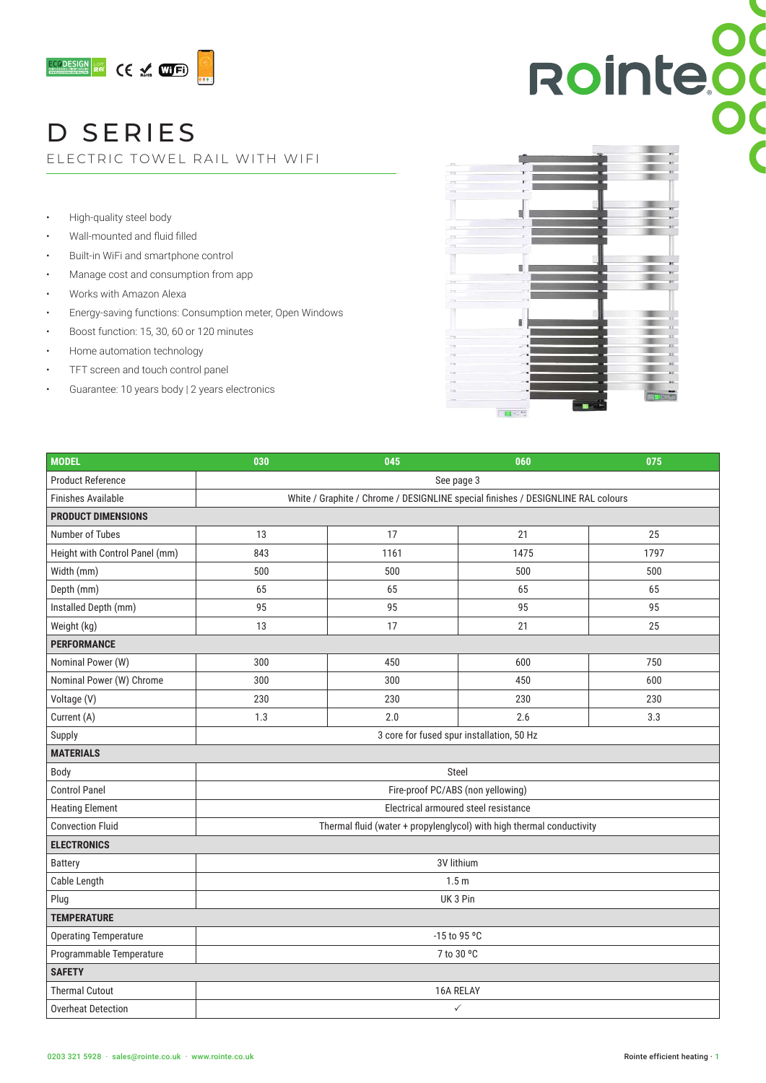

# D SERIES

ELECTRIC TOWEL RAIL WITH WIFI

- High-quality steel body
- Wall-mounted and fluid filled
- Built-in WiFi and smartphone control
- Manage cost and consumption from app
- Works with Amazon Alexa
- Energy-saving functions: Consumption meter, Open Windows
- Boost function: 15, 30, 60 or 120 minutes
- Home automation technology
- TFT screen and touch control panel
- Guarantee: 10 years body | 2 years electronics



| <b>MODEL</b>                   | 030                                                                              | 045  | 060  | 075  |  |  |
|--------------------------------|----------------------------------------------------------------------------------|------|------|------|--|--|
| <b>Product Reference</b>       | See page 3                                                                       |      |      |      |  |  |
| <b>Finishes Available</b>      | White / Graphite / Chrome / DESIGNLINE special finishes / DESIGNLINE RAL colours |      |      |      |  |  |
| <b>PRODUCT DIMENSIONS</b>      |                                                                                  |      |      |      |  |  |
| Number of Tubes                | 13                                                                               | 17   | 21   | 25   |  |  |
| Height with Control Panel (mm) | 843                                                                              | 1161 | 1475 | 1797 |  |  |
| Width (mm)                     | 500                                                                              | 500  | 500  | 500  |  |  |
| Depth (mm)                     | 65                                                                               | 65   | 65   | 65   |  |  |
| Installed Depth (mm)           | 95                                                                               | 95   | 95   | 95   |  |  |
| Weight (kg)                    | 13                                                                               | 17   | 21   | 25   |  |  |
| <b>PERFORMANCE</b>             |                                                                                  |      |      |      |  |  |
| Nominal Power (W)              | 300                                                                              | 450  | 600  | 750  |  |  |
| Nominal Power (W) Chrome       | 300                                                                              | 300  | 450  | 600  |  |  |
| Voltage (V)                    | 230                                                                              | 230  | 230  | 230  |  |  |
| Current (A)                    | 1.3                                                                              | 2.0  | 2.6  | 3.3  |  |  |
| Supply                         | 3 core for fused spur installation, 50 Hz                                        |      |      |      |  |  |
| <b>MATERIALS</b>               |                                                                                  |      |      |      |  |  |
| Body                           | Steel                                                                            |      |      |      |  |  |
| <b>Control Panel</b>           | Fire-proof PC/ABS (non yellowing)                                                |      |      |      |  |  |
| <b>Heating Element</b>         | Electrical armoured steel resistance                                             |      |      |      |  |  |
| <b>Convection Fluid</b>        | Thermal fluid (water + propylenglycol) with high thermal conductivity            |      |      |      |  |  |
| <b>ELECTRONICS</b>             |                                                                                  |      |      |      |  |  |
| <b>Battery</b>                 | 3V lithium                                                                       |      |      |      |  |  |
| Cable Length                   | 1.5 <sub>m</sub>                                                                 |      |      |      |  |  |
| Plug                           | UK 3 Pin                                                                         |      |      |      |  |  |
| <b>TEMPERATURE</b>             |                                                                                  |      |      |      |  |  |
| <b>Operating Temperature</b>   | -15 to 95 °C                                                                     |      |      |      |  |  |
| Programmable Temperature       | 7 to 30 °C                                                                       |      |      |      |  |  |
| <b>SAFETY</b>                  |                                                                                  |      |      |      |  |  |
| <b>Thermal Cutout</b>          | 16A RELAY                                                                        |      |      |      |  |  |
| <b>Overheat Detection</b>      | $\checkmark$                                                                     |      |      |      |  |  |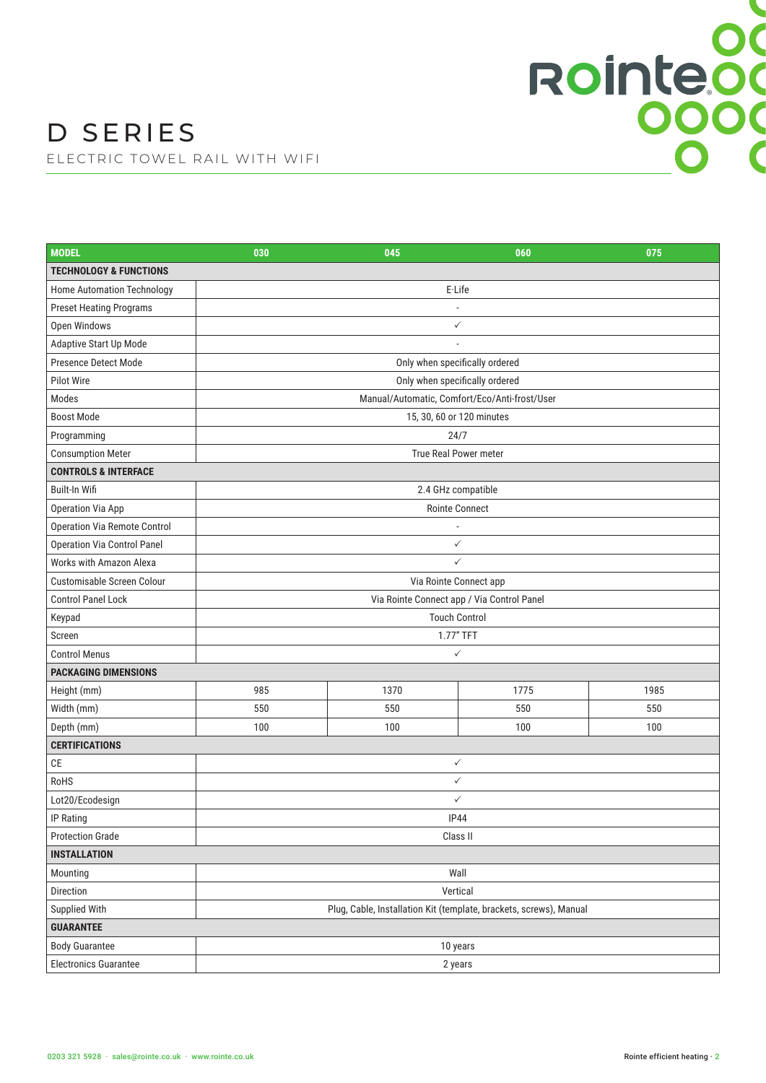| <b>MODEL</b>                       | 030                                                                | 045                            | 060  | 075  |  |
|------------------------------------|--------------------------------------------------------------------|--------------------------------|------|------|--|
| <b>TECHNOLOGY &amp; FUNCTIONS</b>  |                                                                    |                                |      |      |  |
| Home Automation Technology         |                                                                    | E-Life                         |      |      |  |
| <b>Preset Heating Programs</b>     |                                                                    |                                |      |      |  |
| Open Windows                       |                                                                    | $\checkmark$                   |      |      |  |
| Adaptive Start Up Mode             |                                                                    |                                |      |      |  |
| Presence Detect Mode               |                                                                    | Only when specifically ordered |      |      |  |
| Pilot Wire                         | Only when specifically ordered                                     |                                |      |      |  |
| Modes                              | Manual/Automatic, Comfort/Eco/Anti-frost/User                      |                                |      |      |  |
| <b>Boost Mode</b>                  | 15, 30, 60 or 120 minutes                                          |                                |      |      |  |
| Programming                        | 24/7                                                               |                                |      |      |  |
| <b>Consumption Meter</b>           | True Real Power meter                                              |                                |      |      |  |
| <b>CONTROLS &amp; INTERFACE</b>    |                                                                    |                                |      |      |  |
| Built-In Wifi                      | 2.4 GHz compatible                                                 |                                |      |      |  |
| <b>Operation Via App</b>           | <b>Rointe Connect</b>                                              |                                |      |      |  |
| Operation Via Remote Control       | ÷,                                                                 |                                |      |      |  |
| <b>Operation Via Control Panel</b> | $\checkmark$                                                       |                                |      |      |  |
| Works with Amazon Alexa            | ✓                                                                  |                                |      |      |  |
| Customisable Screen Colour         | Via Rointe Connect app                                             |                                |      |      |  |
| <b>Control Panel Lock</b>          | Via Rointe Connect app / Via Control Panel                         |                                |      |      |  |
| Keypad                             | <b>Touch Control</b>                                               |                                |      |      |  |
| Screen                             | 1.77" TFT                                                          |                                |      |      |  |
| <b>Control Menus</b>               | $\checkmark$                                                       |                                |      |      |  |
| <b>PACKAGING DIMENSIONS</b>        |                                                                    |                                |      |      |  |
| Height (mm)                        | 985                                                                | 1370                           | 1775 | 1985 |  |
| Width (mm)                         | 550                                                                | 550                            | 550  | 550  |  |
| Depth (mm)                         | 100                                                                | 100                            | 100  | 100  |  |
| <b>CERTIFICATIONS</b>              |                                                                    |                                |      |      |  |
| <b>CE</b>                          |                                                                    | $\checkmark$                   |      |      |  |
| RoHS                               | $\checkmark$                                                       |                                |      |      |  |
| Lot20/Ecodesign                    | $\checkmark$                                                       |                                |      |      |  |
| IP Rating                          | <b>IP44</b>                                                        |                                |      |      |  |
| <b>Protection Grade</b>            | Class II                                                           |                                |      |      |  |
| <b>INSTALLATION</b>                |                                                                    |                                |      |      |  |
| Mounting                           | Wall                                                               |                                |      |      |  |
| Direction                          | Vertical                                                           |                                |      |      |  |
| Supplied With                      | Plug, Cable, Installation Kit (template, brackets, screws), Manual |                                |      |      |  |
| <b>GUARANTEE</b>                   |                                                                    |                                |      |      |  |
| <b>Body Guarantee</b>              | 10 years                                                           |                                |      |      |  |
| <b>Electronics Guarantee</b>       | 2 years                                                            |                                |      |      |  |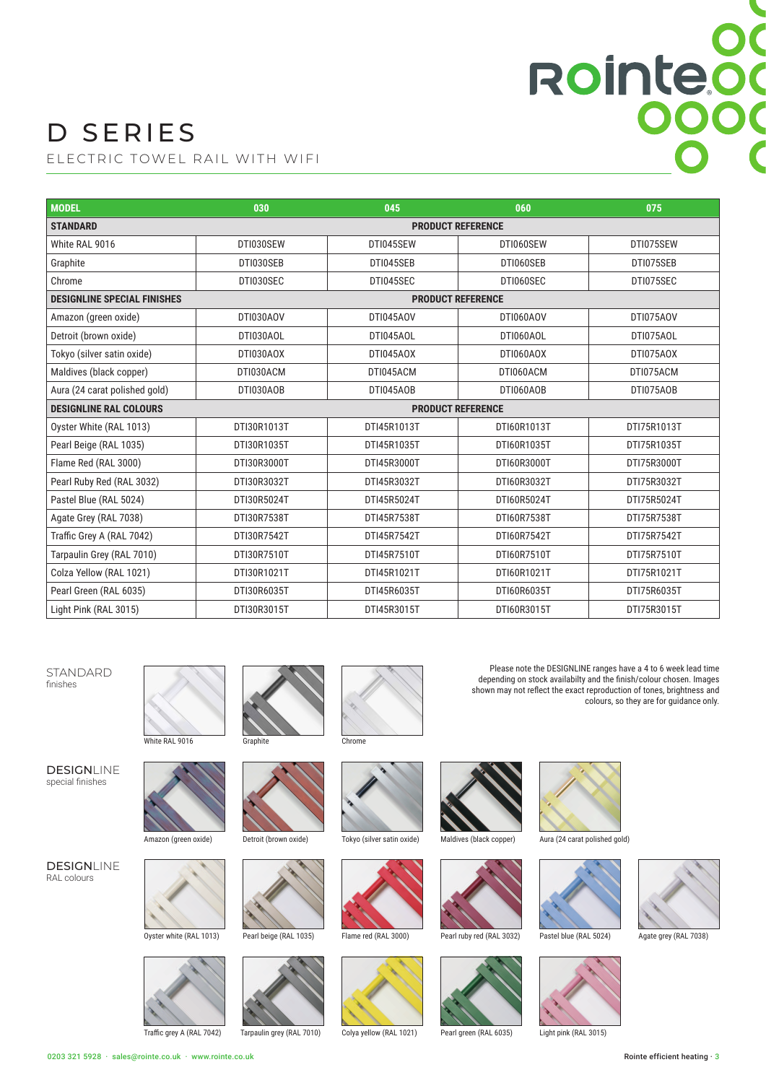# D SERIES

ELECTRIC TOWEL RAIL WITH WIFI

| <b>MODEL</b>                       | 030                      | 045         | 060         | 075         |  |
|------------------------------------|--------------------------|-------------|-------------|-------------|--|
| <b>STANDARD</b>                    | <b>PRODUCT REFERENCE</b> |             |             |             |  |
| White RAL 9016                     | DTI030SEW                | DTI045SEW   | DTI060SEW   | DTI075SEW   |  |
| Graphite                           | DTI030SEB                | DTI045SEB   | DTI060SEB   | DTI075SEB   |  |
| Chrome                             | DTI030SEC                | DTI045SEC   | DTI060SEC   | DTI075SEC   |  |
| <b>DESIGNLINE SPECIAL FINISHES</b> | <b>PRODUCT REFERENCE</b> |             |             |             |  |
| Amazon (green oxide)               | DTI030AOV                | DTI045AOV   | DTI060AOV   | DTI075AOV   |  |
| Detroit (brown oxide)              | DTI030AOL                | DTI045AOL   | DTI060AOL   | DTI075AOL   |  |
| Tokyo (silver satin oxide)         | DTI030AOX                | DTI045AOX   | DTI060AOX   | DTI075AOX   |  |
| Maldives (black copper)            | DTI030ACM                | DTI045ACM   | DTI060ACM   | DTI075ACM   |  |
| Aura (24 carat polished gold)      | DTI030AOB                | DTI045AOB   | DTI060AOB   | DTI075AOB   |  |
| <b>DESIGNLINE RAL COLOURS</b>      | <b>PRODUCT REFERENCE</b> |             |             |             |  |
| Oyster White (RAL 1013)            | DTI30R1013T              | DTI45R1013T | DTI60R1013T | DTI75R1013T |  |
| Pearl Beige (RAL 1035)             | DTI30R1035T              | DTI45R1035T | DTI60R1035T | DTI75R1035T |  |
| Flame Red (RAL 3000)               | DTI30R3000T              | DTI45R3000T | DTI60R3000T | DTI75R3000T |  |
| Pearl Ruby Red (RAL 3032)          | DTI30R3032T              | DTI45R3032T | DTI60R3032T | DTI75R3032T |  |
| Pastel Blue (RAL 5024)             | DTI30R5024T              | DTI45R5024T | DTI60R5024T | DTI75R5024T |  |
| Agate Grey (RAL 7038)              | DTI30R7538T              | DTI45R7538T | DTI60R7538T | DTI75R7538T |  |
| Traffic Grey A (RAL 7042)          | DTI30R7542T              | DTI45R7542T | DTI60R7542T | DTI75R7542T |  |
| Tarpaulin Grey (RAL 7010)          | DTI30R7510T              | DTI45R7510T | DTI60R7510T | DTI75R7510T |  |
| Colza Yellow (RAL 1021)            | DTI30R1021T              | DTI45R1021T | DTI60R1021T | DTI75R1021T |  |
| Pearl Green (RAL 6035)             | DTI30R6035T              | DTI45R6035T | DTI60R6035T | DTI75R6035T |  |
| Light Pink (RAL 3015)              | DTI30R3015T              | DTI45R3015T | DTI60R3015T | DTI75R3015T |  |

STANDARD finishes

DESIGNLINE

special finishes

**DESIGNLINE** RAL colours













Tarpaulin grey (RAL 7010) Colya yellow (RAL 1021) Pearl green (RAL 6035) Light pink (RAL 3015)











Please note the DESIGNLINE ranges have a 4 to 6 week lead time depending on stock availabilty and the finish/colour chosen. Images shown may not reflect the exact reproduction of tones, brightness and

colours, so they are for guidance only.

Rointeod





Amazon (green oxide)

Oyster white (RAL 1013)

Traffic grey A (RAL 7042)